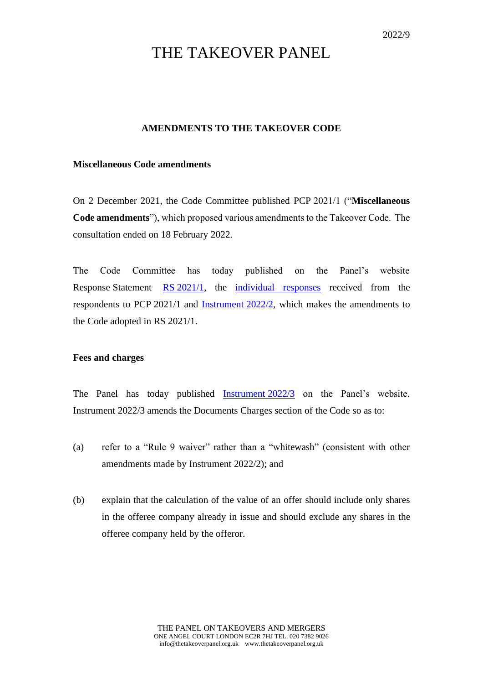# THE TAKEOVER PANEL

## **AMENDMENTS TO THE TAKEOVER CODE**

### **Miscellaneous Code amendments**

On 2 December 2021, the Code Committee published PCP 2021/1 ("**Miscellaneous Code amendments**"), which proposed various amendments to the Takeover Code. The consultation ended on 18 February 2022.

The Code Committee has today published on the Panel's website Response Statement RS [2021/1,](https://www.thetakeoverpanel.org.uk/consultation/previous-consultation-papers) the [individual responses](https://www.thetakeoverpanel.org.uk/consultation/previous-consultation-papers) received from the respondents to PCP 2021/1 and [Instrument](https://www.thetakeoverpanel.org.uk/the-code/list-of-instruments-and-links) 2022/2, which makes the amendments to the Code adopted in RS 2021/1.

### **Fees and charges**

The Panel has today published [Instrument](https://www.thetakeoverpanel.org.uk/the-code/list-of-instruments-and-links) 2022/3 on the Panel's website. Instrument 2022/3 amends the Documents Charges section of the Code so as to:

- (a) refer to a "Rule 9 waiver" rather than a "whitewash" (consistent with other amendments made by Instrument 2022/2); and
- (b) explain that the calculation of the value of an offer should include only shares in the offeree company already in issue and should exclude any shares in the offeree company held by the offeror.